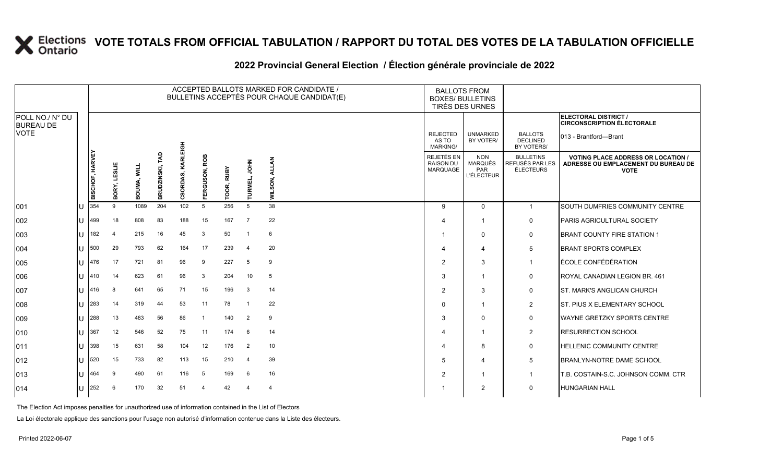#### 2022 Provincial General Election / Election générale provinciale de 2022

|                                     | ACCEPTED BALLOTS MARKED FOR CANDIDATE /<br>BULLETINS ACCEPTÉS POUR CHAQUE CANDIDAT(E) |                        |              |             |                  |                  |                  |            |                |                                            | <b>BALLOTS FROM</b><br><b>BOXES/ BULLETINS</b> | TIRÉS DES URNES                                   |                                                          |                                                  |                                                                                                 |
|-------------------------------------|---------------------------------------------------------------------------------------|------------------------|--------------|-------------|------------------|------------------|------------------|------------|----------------|--------------------------------------------|------------------------------------------------|---------------------------------------------------|----------------------------------------------------------|--------------------------------------------------|-------------------------------------------------------------------------------------------------|
| POLL NO./ N° DU<br><b>BUREAU DE</b> |                                                                                       |                        |              |             |                  |                  |                  |            |                |                                            |                                                |                                                   |                                                          |                                                  | ELECTORAL DISTRICT /<br><b>CIRCONSCRIPTION ÉLECTORALE</b>                                       |
| <b>VOTE</b>                         |                                                                                       |                        |              |             |                  | 품<br>대           |                  |            |                |                                            |                                                | <b>REJECTED</b><br>AS TO<br><b>MARKING/</b>       | <b>UNMARKED</b><br>BY VOTER/                             | <b>BALLOTS</b><br><b>DECLINED</b><br>BY VOTERS/  | 013 - Brantford—Brant                                                                           |
|                                     |                                                                                       | <b>BISCHOF, HARVEY</b> | BORY, LESLIE | BOUMA, WILL | g<br>BRUDZINSKI, | KARL<br>CSORDAS, | ROB<br>FERGUSON, | TOOR, RUBY | HOL<br>TURMEL, | <b>LLAN</b><br>₹<br>SON <sub>.</sub><br>ŠΠ |                                                | <b>REJETÉS EN</b><br><b>RAISON DU</b><br>MARQUAGE | <b>NON</b><br><b>MARQUÉS</b><br>PAR<br><b>L'ÉLECTEUR</b> | <b>BULLETINS</b><br>REFUSÉS PAR LES<br>ÉLECTEURS | <b>VOTING PLACE ADDRESS OR LOCATION /</b><br>ADRESSE OU EMPLACEMENT DU BUREAU DE<br><b>VOTE</b> |
| 001                                 |                                                                                       | 354                    | 9            | 1089        | 204              | 102              | 5                | 256        | 5              | 38                                         |                                                | 9                                                 | $\Omega$                                                 | $\mathbf{1}$                                     | SOUTH DUMFRIES COMMUNITY CENTRE                                                                 |
| 002                                 | U                                                                                     | 499                    | 18           | 808         | 83               | 188              | 15               | 167        | $\overline{7}$ | 22                                         |                                                |                                                   | -1                                                       | $\mathbf 0$                                      | PARIS AGRICULTURAL SOCIETY                                                                      |
| 003                                 | U                                                                                     | 182                    | -4           | 215         | 16               | 45               | 3                | 50         |                | 6                                          |                                                |                                                   | $\Omega$                                                 | $\mathsf 0$                                      | <b>BRANT COUNTY FIRE STATION 1</b>                                                              |
| 004                                 | $\mathbf{L}$                                                                          | 500                    | 29           | 793         | 62               | 164              | 17               | 239        | $\overline{4}$ | 20                                         |                                                |                                                   | 4                                                        | 5                                                | <b>BRANT SPORTS COMPLEX</b>                                                                     |
| 005                                 | U                                                                                     | 476                    | 17           | 721         | 81               | 96               | -9               | 227        | 5              | 9                                          |                                                | 2                                                 | 3                                                        | $\overline{1}$                                   | ÉCOLE CONFÉDÉRATION                                                                             |
| 006                                 | U                                                                                     | 410                    | 14           | 623         | 61               | 96               | 3                | 204        | 10             | 5                                          |                                                | 3                                                 | $\overline{\mathbf{1}}$                                  | $\mathbf 0$                                      | ROYAL CANADIAN LEGION BR. 461                                                                   |
| 007                                 | U                                                                                     | 416                    | 8            | 641         | 65               | 71               | 15               | 196        | 3              | 14                                         |                                                | 2                                                 | 3                                                        | $\mathbf 0$                                      | <b>ST. MARK'S ANGLICAN CHURCH</b>                                                               |
| 008                                 | U                                                                                     | 283                    | 14           | 319         | 44               | 53               | 11               | 78         |                | 22                                         |                                                |                                                   | -1                                                       | $\overline{2}$                                   | <b>ST. PIUS X ELEMENTARY SCHOOL</b>                                                             |
| 009                                 | U                                                                                     | 288                    | 13           | 483         | 56               | 86               | $\overline{1}$   | 140        | 2              | 9                                          |                                                | 3                                                 | $\mathbf 0$                                              | 0                                                | <b>WAYNE GRETZKY SPORTS CENTRE</b>                                                              |
| 010                                 | U                                                                                     | 367                    | 12           | 546         | 52               | 75               | 11               | 174        | 6              | 14                                         |                                                |                                                   | -1                                                       | 2                                                | <b>RESURRECTION SCHOOL</b>                                                                      |
| 011                                 | U                                                                                     | 398                    | 15           | 631         | 58               | 104              | 12               | 176        | $\overline{2}$ | 10                                         |                                                |                                                   | 8                                                        | $\mathbf 0$                                      | HELLENIC COMMUNITY CENTRE                                                                       |
| 012                                 | U                                                                                     | 520                    | 15           | 733         | 82               | 113              | 15               | 210        | $\overline{4}$ | 39                                         |                                                | 5                                                 | $\boldsymbol{\Delta}$                                    | 5                                                | <b>BRANLYN-NOTRE DAME SCHOOL</b>                                                                |
| 013                                 | U                                                                                     | 464                    | 9            | 490         | 61               | 116              | 5                | 169        | 6              | 16                                         |                                                | $\overline{2}$                                    |                                                          | $\mathbf{1}$                                     | T.B. COSTAIN-S.C. JOHNSON COMM. CTR                                                             |
| 014                                 | U                                                                                     | 252                    | 6            | 170         | 32               | 51               | $\overline{4}$   | 42         | 4              | $\overline{4}$                             |                                                |                                                   | $\overline{2}$                                           | 0                                                | <b>HUNGARIAN HALL</b>                                                                           |

The Election Act imposes penalties for unauthorized use of information contained in the List of Electors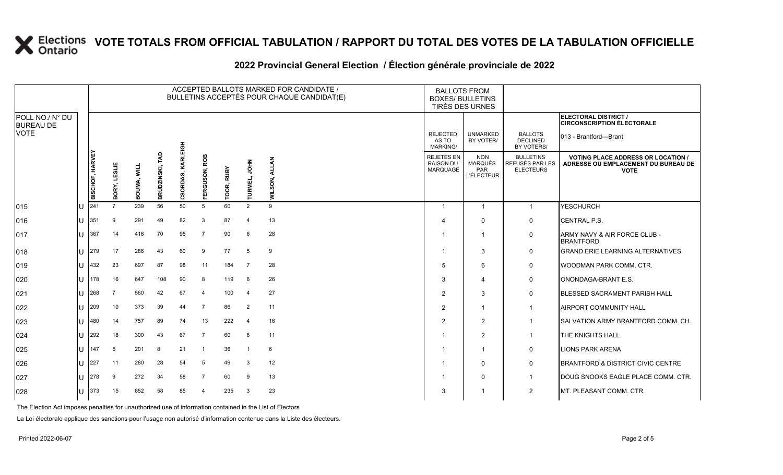### **2022 Provincial General Election / Élection générale provinciale de 2022**

|                                     |              | ACCEPTED BALLOTS MARKED FOR CANDIDATE /<br>BULLETINS ACCEPTÉS POUR CHAQUE CANDIDAT(E) |                |                      |             |        |                  |               |                |                         | <b>BALLOTS FROM</b><br><b>BOXES/ BULLETINS</b><br>TIRÉS DES URNES |                                                   |                                                  |                                                                                               |
|-------------------------------------|--------------|---------------------------------------------------------------------------------------|----------------|----------------------|-------------|--------|------------------|---------------|----------------|-------------------------|-------------------------------------------------------------------|---------------------------------------------------|--------------------------------------------------|-----------------------------------------------------------------------------------------------|
| POLL NO./ N° DU<br><b>BUREAU DE</b> |              |                                                                                       |                |                      |             |        |                  |               |                |                         |                                                                   |                                                   |                                                  | <b>ELECTORAL DISTRICT /</b><br><b>CIRCONSCRIPTION ÉLECTORALE</b>                              |
| <b>VOTE</b>                         |              |                                                                                       |                |                      |             | 픎      |                  |               |                |                         | <b>REJECTED</b><br>AS TO<br><b>MARKING/</b>                       | <b>UNMARKED</b><br>BY VOTER/                      | <b>BALLOTS</b><br><b>DECLINED</b><br>BY VOTERS/  | 013 - Brantford-Brant                                                                         |
|                                     |              | <b>BISCHOF, HARVEY</b>                                                                | BORY, LESLIE   | <b>NIN</b><br>BOUMA, | BRUDZINSKI, | CSORDA | ROB<br>FERGUSON, | RUBY<br>TOOR, | MHQ<br>TURME   | <b>ALLAN</b><br>WILSON, | REJETÉS EN<br><b>RAISON DU</b><br>MARQUAGE                        | <b>NON</b><br>MARQUÉS<br>PAR<br><b>L'ÉLECTEUR</b> | <b>BULLETINS</b><br>REFUSÉS PAR LES<br>ÉLECTEURS | <b>VOTING PLACE ADDRESS OR LOCATION</b><br>ADRESSE OU EMPLACEMENT DU BUREAU DE<br><b>VOTE</b> |
| 015                                 |              | 241                                                                                   | $\overline{7}$ | 239                  | 56          | 50     | 5                | 60            | 2              | 9                       | $\overline{\mathbf{1}}$                                           | 1                                                 | $\mathbf{1}$                                     | <b>YESCHURCH</b>                                                                              |
| 016                                 | ПT           | 351                                                                                   | 9              | 291                  | 49          | 82     | 3                | 87            | 4              | 13                      | $\overline{4}$                                                    | $\mathbf{0}$                                      | $\mathbf 0$                                      | <b>CENTRAL P.S.</b>                                                                           |
| 017                                 | Ш            | 367                                                                                   | 14             | 416                  | 70          | 95     | 7                | 90            | 6              | 28                      |                                                                   | -1                                                | 0                                                | ARMY NAVY & AIR FORCE CLUB -<br><b>BRANTFORD</b>                                              |
| 018                                 | IП           | 279                                                                                   | 17             | 286                  | 43          | 60     | 9                | 77            | 5              | 9                       |                                                                   | 3                                                 | 0                                                | GRAND ERIE LEARNING ALTERNATIVES                                                              |
| 019                                 | IU           | 432                                                                                   | 23             | 697                  | 87          | 98     | -11              | 184           | -7             | 28                      | 5                                                                 | 6                                                 | 0                                                | WOODMAN PARK COMM. CTR.                                                                       |
| 020                                 | Ш            | 178                                                                                   | 16             | 647                  | 108         | 90     | 8                | 119           | 6              | 26                      | 3                                                                 | 4                                                 | $\mathbf 0$                                      | ONONDAGA-BRANT E.S.                                                                           |
| 021                                 | ΠT           | 268                                                                                   | $\overline{7}$ | 560                  | 42          | 67     | $\overline{4}$   | 100           | $\overline{4}$ | 27                      | $\overline{2}$                                                    | 3                                                 | $\mathbf 0$                                      | BLESSED SACRAMENT PARISH HALL                                                                 |
| 022                                 | Ш            | 209                                                                                   | 10             | 373                  | 39          | 44     | 7                | 86            | $\overline{2}$ | 11                      | $\overline{2}$                                                    | -1                                                | $\mathbf{1}$                                     | <b>AIRPORT COMMUNITY HALL</b>                                                                 |
| 023                                 | $\mathbf{L}$ | 480                                                                                   | 14             | 757                  | 89          | 74     | 13               | 222           | 4              | 16                      | 2                                                                 | $\overline{2}$                                    | $\mathbf{1}$                                     | SALVATION ARMY BRANTFORD COMM. CH.                                                            |
| 024                                 | IU           | 292                                                                                   | 18             | 300                  | 43          | 67     | $\overline{7}$   | 60            | 6              | 11                      |                                                                   | $\overline{2}$                                    | $\mathbf{1}$                                     | THE KNIGHTS HALL                                                                              |
| 025                                 | IП           | 147                                                                                   | -5             | 201                  | -8          | 21     | -1               | 36            |                | 6                       | -1                                                                | 1                                                 | $\mathbf 0$                                      | <b>LIONS PARK ARENA</b>                                                                       |
| 026                                 | $\mathbf{U}$ | 227                                                                                   | 11             | 280                  | 28          | 54     | 5                | 49            | 3              | 12                      | -1                                                                | $\Omega$                                          | $\mathbf 0$                                      | <b>BRANTFORD &amp; DISTRICT CIVIC CENTRE</b>                                                  |
| 027                                 | ПT           | 278                                                                                   | 9              | 272                  | 34          | 58     | $\overline{7}$   | 60            | 9              | 13                      | -1                                                                | $\Omega$                                          | $\mathbf{1}$                                     | DOUG SNOOKS EAGLE PLACE COMM. CTR.                                                            |
| 028                                 | ПT           | 373                                                                                   | 15             | 652                  | 58          | 85     | 4                | 235           | 3              | 23                      | 3                                                                 | -1                                                | 2                                                | MT. PLEASANT COMM. CTR.                                                                       |

The Election Act imposes penalties for unauthorized use of information contained in the List of Electors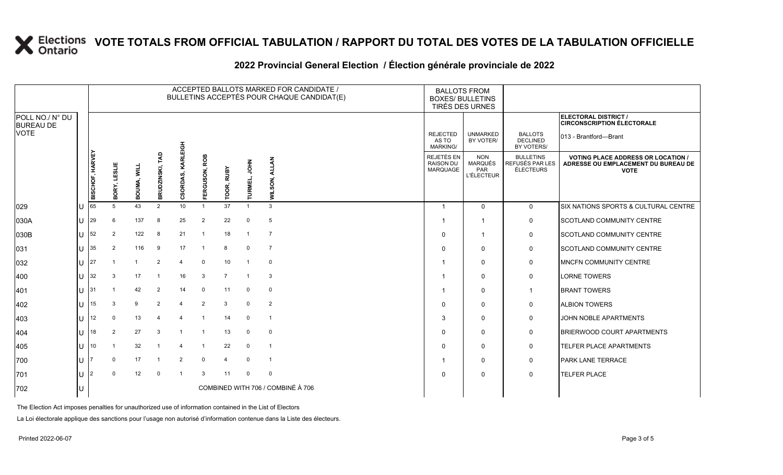### **2022 Provincial General Election / Élection générale provinciale de 2022**

|                                     |    |                        |              |             |                    |                   |                |                |                        | ACCEPTED BALLOTS MARKED FOR CANDIDATE /<br>BULLETINS ACCEPTÉS POUR CHAQUE CANDIDAT(E) | <b>BALLOTS FROM</b><br><b>BOXES/ BULLETINS</b><br>TIRÉS DES URNES |                                             |                                                          |                                                  |                                                                                                 |
|-------------------------------------|----|------------------------|--------------|-------------|--------------------|-------------------|----------------|----------------|------------------------|---------------------------------------------------------------------------------------|-------------------------------------------------------------------|---------------------------------------------|----------------------------------------------------------|--------------------------------------------------|-------------------------------------------------------------------------------------------------|
| POLL NO./ N° DU<br><b>BUREAU DE</b> |    |                        |              |             |                    |                   |                |                |                        |                                                                                       |                                                                   |                                             |                                                          |                                                  | <b>ELECTORAL DISTRICT /</b><br><b>CIRCONSCRIPTION ÉLECTORALE</b>                                |
| <b>VOTE</b>                         |    |                        |              |             |                    | 픎                 |                |                |                        |                                                                                       |                                                                   | <b>REJECTED</b><br>AS TO<br><b>MARKING/</b> | <b>UNMARKED</b><br>BY VOTER/                             | <b>BALLOTS</b><br><b>DECLINED</b><br>BY VOTERS/  | 013 - Brantford—Brant                                                                           |
|                                     |    | <b>BISCHOF, HARVEY</b> | BORY, LESLIE | BOUMA, WILL | ГAD<br>BRUDZINSKI, | KARLI<br>CSORDAS, | FERGUSON, ROB  | TOOR, RUBY     | <b>NHOL</b><br>TURMEL, | <b>LLAN</b><br>₹<br>WILSON,                                                           |                                                                   | REJETÉS EN<br><b>RAISON DU</b><br>MARQUAGE  | <b>NON</b><br><b>MARQUÉS</b><br>PAR<br><b>L'ÉLECTEUR</b> | <b>BULLETINS</b><br>REFUSÉS PAR LES<br>ÉLECTEURS | <b>VOTING PLACE ADDRESS OR LOCATION /</b><br>ADRESSE OU EMPLACEMENT DU BUREAU DE<br><b>VOTE</b> |
| 029                                 |    | 65                     | 5            | 43          | 2                  | 10                | $\overline{1}$ | 37             | $\overline{1}$         | 3                                                                                     |                                                                   |                                             | $\mathbf 0$                                              | $\mathbf{0}$                                     | SIX NATIONS SPORTS & CULTURAL CENTRE                                                            |
| 030A                                | ΙU | 29                     | 6            | 137         | 8                  | 25                | 2              | 22             | $\mathbf 0$            | 5                                                                                     |                                                                   |                                             | $\overline{\mathbf{1}}$                                  | $\mathsf{O}$                                     | <b>SCOTLAND COMMUNITY CENTRE</b>                                                                |
| 030B                                | lu | 52                     | 2            | 122         | 8                  | 21                | $\overline{1}$ | 18             | - 1                    | $\overline{7}$                                                                        |                                                                   | $\Omega$                                    | $\overline{1}$                                           | 0                                                | SCOTLAND COMMUNITY CENTRE                                                                       |
| 031                                 | lu | 35                     | 2            | 116         | 9                  | 17                | $\overline{1}$ | 8              | 0                      | $\overline{7}$                                                                        |                                                                   | $\Omega$                                    | $\mathbf 0$                                              | $\mathbf 0$                                      | <b>SCOTLAND COMMUNITY CENTRE</b>                                                                |
| 032                                 | lU | 27                     |              | -1          | $\overline{2}$     | $\overline{4}$    | 0              | 10             | -1                     | 0                                                                                     |                                                                   |                                             | $\mathbf 0$                                              | $\mathbf 0$                                      | <b>MNCFN COMMUNITY CENTRE</b>                                                                   |
| 400                                 | lu | 32                     | 3            | 17          |                    | 16                | 3              | $\overline{7}$ |                        | 3                                                                                     |                                                                   |                                             | $\mathbf 0$                                              | 0                                                | <b>LORNE TOWERS</b>                                                                             |
| 401                                 | ΙU | 31                     |              | 42          | 2                  | 14                | 0              | 11             | $\mathbf 0$            | 0                                                                                     |                                                                   |                                             | $\mathbf 0$                                              | -1                                               | <b>BRANT TOWERS</b>                                                                             |
| 402                                 | ΙU | 15                     | 3            | 9           | 2                  | $\overline{4}$    | 2              | 3              | $\mathbf 0$            | 2                                                                                     |                                                                   | $\Omega$                                    | $\mathbf 0$                                              | $\mathbf 0$                                      | <b>ALBION TOWERS</b>                                                                            |
| 403                                 | ΙU | 12                     | $\Omega$     | 13          |                    |                   |                | 14             | $\mathbf{0}$           | -1                                                                                    |                                                                   | 3                                           | $\mathbf 0$                                              | 0                                                | JOHN NOBLE APARTMENTS                                                                           |
| 404                                 | lu | 18                     | 2            | 27          | 3                  |                   | $\overline{1}$ | 13             | $\mathbf 0$            | 0                                                                                     |                                                                   | $\Omega$                                    | $\mathbf 0$                                              | $\mathbf 0$                                      | <b>BRIERWOOD COURT APARTMENTS</b>                                                               |
| 405                                 | lθ | 10                     |              | 32          | -1                 | $\overline{4}$    | $\overline{1}$ | 22             | $\mathbf 0$            | -1                                                                                    |                                                                   | $\Omega$                                    | $\mathbf 0$                                              | $\mathbf 0$                                      | TELFER PLACE APARTMENTS                                                                         |
| 700                                 | ΙU |                        | $\Omega$     | 17          |                    | $\overline{2}$    | $\mathbf 0$    | $\overline{4}$ | 0                      |                                                                                       |                                                                   |                                             | $\mathbf 0$                                              | 0                                                | <b>PARK LANE TERRACE</b>                                                                        |
| 701                                 | lU | $\mathfrak{p}$         | $\Omega$     | 12          | $\overline{0}$     | $\overline{1}$    | 3              | 11             | $\mathbf 0$            | $\Omega$                                                                              |                                                                   | $\Omega$                                    | $\mathbf 0$                                              | $\mathbf 0$                                      | <b>TELFER PLACE</b>                                                                             |
| 702                                 | IU |                        |              |             |                    |                   |                |                |                        | COMBINED WITH 706 / COMBINÉ À 706                                                     |                                                                   |                                             |                                                          |                                                  |                                                                                                 |

The Election Act imposes penalties for unauthorized use of information contained in the List of Electors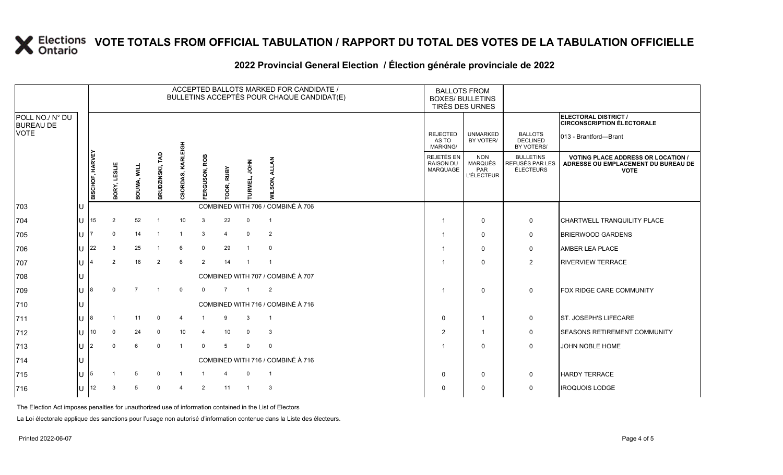### **2022 Provincial General Election / Élection générale provinciale de 2022**

|                                     |     |                         |                |                |                    |                   |                |                  |                              | ACCEPTED BALLOTS MARKED FOR CANDIDATE /<br>BULLETINS ACCEPTÉS POUR CHAQUE CANDIDAT(E) |                                            | <b>BALLOTS FROM</b><br><b>BOXES/ BULLETINS</b><br>TIRÉS DES URNES |                                                  |                                                                                                 |
|-------------------------------------|-----|-------------------------|----------------|----------------|--------------------|-------------------|----------------|------------------|------------------------------|---------------------------------------------------------------------------------------|--------------------------------------------|-------------------------------------------------------------------|--------------------------------------------------|-------------------------------------------------------------------------------------------------|
| POLL NO./ N° DU<br><b>BUREAU DE</b> |     |                         |                |                |                    |                   |                |                  |                              |                                                                                       |                                            |                                                                   |                                                  | ELECTORAL DISTRICT /<br><b>CIRCONSCRIPTION ÉLECTORALE</b>                                       |
| <b>VOTE</b>                         |     |                         |                |                |                    |                   |                |                  |                              |                                                                                       | <b>REJECTED</b><br>AS TO<br>MARKING/       | <b>UNMARKED</b><br>BY VOTER/                                      | <b>BALLOTS</b><br><b>DECLINED</b><br>BY VOTERS/  | 013 - Brantford-Brant                                                                           |
|                                     |     | <b>BISCHOF, HARVEY</b>  | BORY, LESLIE   | BOUMA, WILL    | TAD<br>BRUDZINSKI, | CSORDAS, KARLEIGH | ERGUSON, ROB   | <b>DOR, RUBY</b> | <b>NHOL</b><br><b>URMEL,</b> | <b>ALLAN</b><br>$\overline{5}$<br><b>NILS</b>                                         | REJETÉS EN<br><b>RAISON DU</b><br>MARQUAGE | <b>NON</b><br><b>MARQUÉS</b><br>PAR<br><b>L'ÉLECTEUR</b>          | <b>BULLETINS</b><br>REFUSÉS PAR LES<br>ÉLECTEURS | <b>VOTING PLACE ADDRESS OR LOCATION /</b><br>ADRESSE OU EMPLACEMENT DU BUREAU DE<br><b>VOTE</b> |
| 703                                 |     |                         |                |                |                    |                   |                |                  |                              | COMBINED WITH 706 / COMBINÉ À 706                                                     |                                            |                                                                   |                                                  |                                                                                                 |
| 704                                 | lu  | 15                      | $\overline{2}$ | 52             | -1                 | 10                | 3              | 22               | $\mathbf 0$                  | $\overline{1}$                                                                        |                                            | $\mathbf 0$                                                       | 0                                                | CHARTWELL TRANQUILITY PLACE                                                                     |
| 705                                 | lU  |                         | $\mathbf 0$    | 14             | - 1                |                   | 3              | $\overline{4}$   | $\mathbf 0$                  | $\overline{2}$                                                                        |                                            | 0                                                                 | 0                                                | <b>BRIERWOOD GARDENS</b>                                                                        |
| 706                                 | lu  | 22                      | 3              | 25             | $\overline{1}$     | 6                 | $\mathbf 0$    | 29               | $\mathbf{1}$                 | 0                                                                                     |                                            | $\mathbf 0$                                                       | 0                                                | <b>AMBER LEA PLACE</b>                                                                          |
| 707                                 | lθ  | $\overline{\mathbf{A}}$ | $\overline{2}$ | 16             | $\overline{2}$     | 6                 | $\overline{2}$ | 14               | -1                           | - 1                                                                                   |                                            | $\mathbf 0$                                                       | $\overline{2}$                                   | <b>RIVERVIEW TERRACE</b>                                                                        |
| 708                                 | lU  |                         |                |                |                    |                   |                |                  |                              | COMBINED WITH 707 / COMBINÉ À 707                                                     |                                            |                                                                   |                                                  |                                                                                                 |
| 709                                 | ΙU  |                         |                |                |                    | 0                 | $\Omega$       | $\overline{7}$   | $\mathbf{1}$                 | $\overline{2}$                                                                        |                                            | $\mathbf 0$                                                       | $\mathbf 0$                                      | <b>FOX RIDGE CARE COMMUNITY</b>                                                                 |
| 710                                 | lU  |                         |                |                |                    |                   |                |                  |                              | COMBINED WITH 716 / COMBINÉ À 716                                                     |                                            |                                                                   |                                                  |                                                                                                 |
| 711                                 | lU  |                         |                | 11             | $\mathbf 0$        | 4                 |                | 9                | 3                            | $\overline{1}$                                                                        | $\Omega$                                   | -1                                                                | 0                                                | ST. JOSEPH'S LIFECARE                                                                           |
| 712                                 | ΙU  | 10                      | $\Omega$       | 24             | $\mathbf{0}$       | 10                | $\overline{4}$ | 10               | 0                            | 3                                                                                     | $\overline{2}$                             |                                                                   | 0                                                | <b>SEASONS RETIREMENT COMMUNITY</b>                                                             |
| 713                                 | lu  | 2                       | $\Omega$       | 6              | $\mathbf 0$        | $\overline{1}$    | $\mathbf 0$    | 5                | $\mathbf 0$                  | $\mathbf 0$                                                                           |                                            | $\mathbf 0$                                                       | $\mathbf 0$                                      | JOHN NOBLE HOME                                                                                 |
| 714                                 | lU  |                         |                |                |                    |                   |                |                  |                              | COMBINED WITH 716 / COMBINÉ À 716                                                     |                                            |                                                                   |                                                  |                                                                                                 |
| 715                                 | lu. | 5                       |                | 5              | $\Omega$           |                   |                |                  | $\Omega$                     | $\overline{1}$                                                                        |                                            | $\mathbf 0$                                                       | 0                                                | <b>HARDY TERRACE</b>                                                                            |
| 716                                 | ΙU  | 12                      | 3              | $\overline{5}$ | $\Omega$           | 4                 | $\overline{2}$ | 11               | $\mathbf{1}$                 | 3                                                                                     | $\Omega$                                   | $\mathbf 0$                                                       | $\mathbf 0$                                      | <b>IROQUOIS LODGE</b>                                                                           |

The Election Act imposes penalties for unauthorized use of information contained in the List of Electors